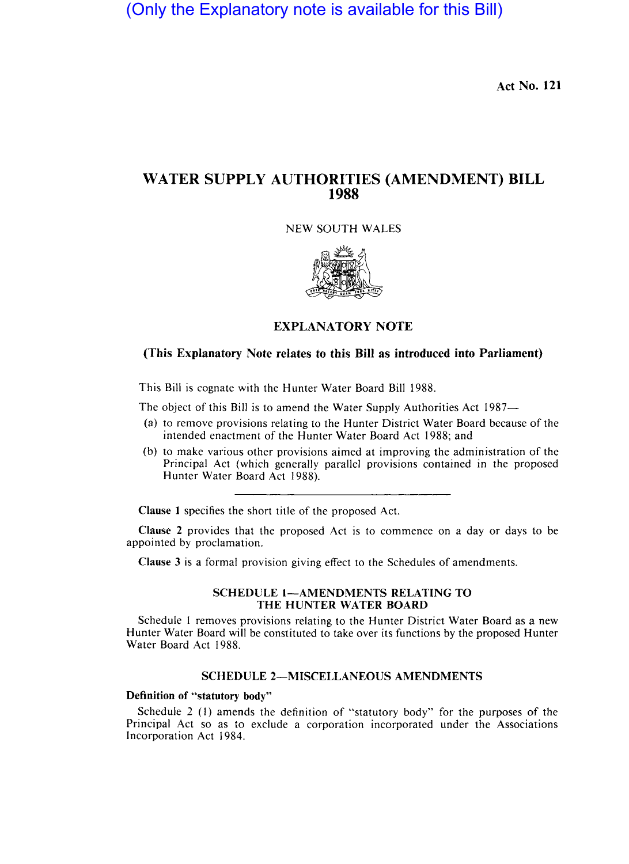(Only the Explanatory note is available for this Bill)

**Act No. 121** 

# **W ATER SUPPLY AUTHORITIES (AMENDMENT) BILL 1988**

NEW SOUTH WALES



# **EXPLANATORY NOTE**

## **(This Explanatory Note relates to this Bill as introduced into Parliament)**

This Bill is cognate with the Hunter Water Board Bill 1988.

The object of this Bill is to amend the Water Supply Authorities Act 1987-

- (a) to remove provisions relating to the Hunter District Water Board because of the intended enactment of the Hunter Water Board Act 1988; and
- (b) to make various other provisions aimed at improving the administration of the Principal Act (which generally parallel provisions contained in the proposed Hunter Water Board Act 1988).

**Clause 1** specifies the short title of the proposed Act.

**Clause** 2 provides that the proposed Act is to commence on a day or days to be appointed by proclamation.

**Clause** 3 is a formal provision giving effect to the Schedules of amendments.

#### **SCHEDULE 1-AMENDMENTS RELATING TO THE HUNTER WATER BOARD**

Schedule I removes provisions relating to the Hunter District Water Board as a new Hunter Water Board will be constituted to take over its functions by the proposed Hunter Water Board Act 1988.

### **SCHEDULE 2-MISCELLANEOUS AMENDMENTS**

### **Definition of "statutory body"**

Schedule 2 (I) amends the definition of "statutory body" for the purposes of the Principal Act so as to exclude a corporation incorporated under the Associations Incorporation Act 1984.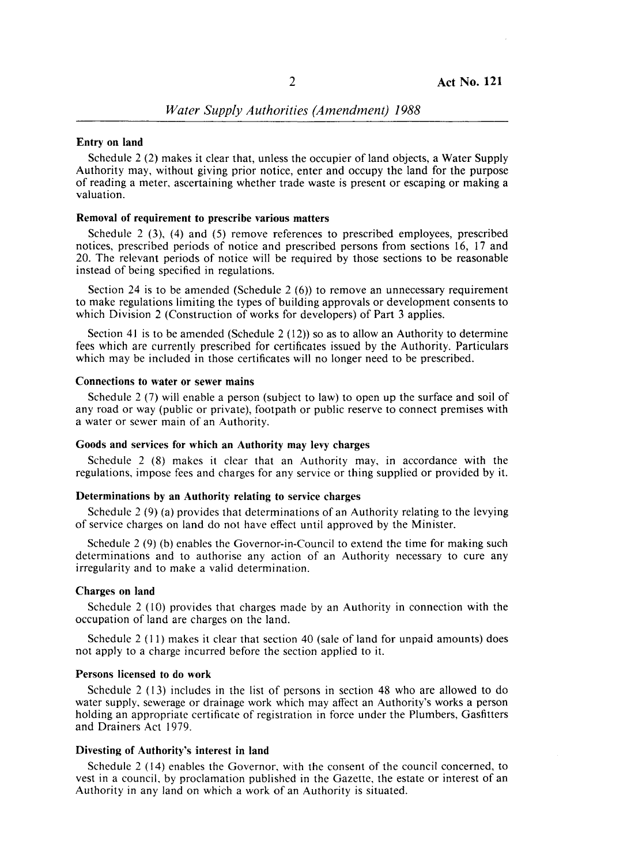### Entry on land

Schedule 2  $(2)$  makes it clear that, unless the occupier of land objects, a Water Supply Authority may, without giving prior notice, enter and occupy the land for the purpose of reading a meter, ascertaining whethe trade waste is present or escaping or making a valuation.

#### Removal of requirement to prescribe various matters

Schedule 2 (3), (4) and (5) remove eferences to prescribed employees, prescribed notices, prescribed periods of notice and prescribed persons from sections 16, 17 and 20. The relevant periods of notice will be required by those sections to be reasonable instead of being specified in regulations

Section 24 is to be amended (Schedule 2  $(6)$ ) to remove an unnecessary requirement to make regulations limiting the types of building approvals or development consents to which Division 2 (Construction of works for developers) of Part 3 applies.

Section 41 is to be amended (Schedule  $2(12)$ ) so as to allow an Authority to determine fees which are currently prescribed for certificates issued by the Authority. Particulars which may be included in those certificates will no longer need to be prescribed.

#### Connections to water or sewer mains

Schedule 2 (7) will enable a person (subject to law) to open up the surface and soil of any road or way (public or private), footpath or public reserve to connect premises with a water or sewer main of an Authority.

### Goods and services for which an Authority may levy charges

Schedule 2  $(8)$  makes it clear that an Authority may, in accordance with the regulations, impose fees and charges for any service or thing supplied or provided by it.

### Determinations by an Authority relating to service charges

Schedule  $2(9)$  (a) provides that determinations of an Authority relating to the levying of service charges on land do not have effect until approved by the Minister.

Schedule  $2(9)$  (b) enables the Governor-in-Council to extend the time for making such determinations and to authorise any action of an Authority necessary to cure any irregularity and to make a valid determination.

#### Charges on land

Schedule  $2(10)$  provides that charges made by an Authority in connection with the occupation of land are charges on the land.

Schedule 2  $(11)$  makes it clear that section 40 (sale of land for unpaid amounts) does not apply to a charge incurred before the section applied to it.

#### Persons licensed to do work

Schedule  $2(13)$  includes in the list of persons in section 48 who are allowed to do water supply, sewerage or drainage work which may affect an Authority's works a person holding an appropriate certificate of registration in force under the Plumbers, Gasfitters and Drainers Act 1979.

### Divesting of Authority's interest in land

Schedule 2 (14) enables the Governor, with the consent of the council concerned, to vest in a council, by proclamation published in the Gazette, the estate or interest of an Authority in any land on which a work of an Authority is situated.